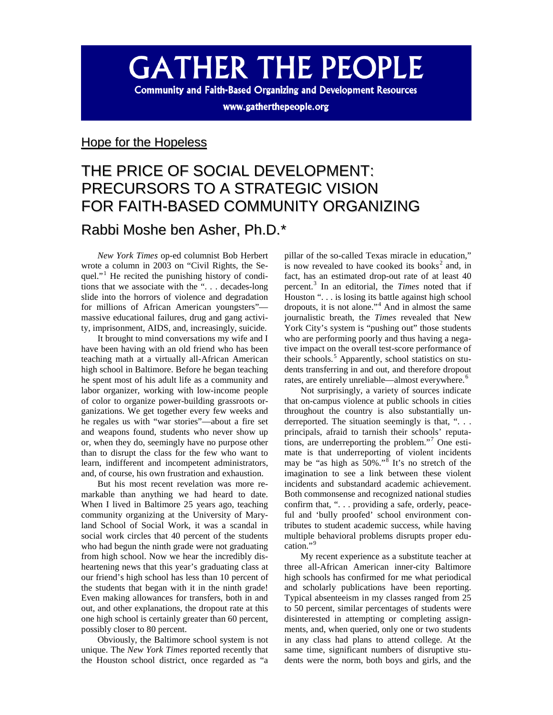# **GATHER THE PEOPLE**

**Community and Faith-Based Organizing and Development Resources** 

www.gatherthepeople.org

### Hope for the Hopeless

## THE PRICE OF SOCIAL DEVELOPMENT: PRECURSORS TO A STRATEGIC VISION FOR FAITH-BASED COMMUNITY ORGANIZING Rabbi Moshe ben Asher, Ph.D.[\\*](#page-7-0)

*New York Times* op-ed columnist Bob Herbert wrote a column in 2003 on "Civil Rights, the Se-quel."<sup>[1](#page-7-1)</sup> He recited the punishing history of conditions that we associate with the ". . . decades-long slide into the horrors of violence and degradation for millions of African American youngsters" massive educational failures, drug and gang activity, imprisonment, AIDS, and, increasingly, suicide.

It brought to mind conversations my wife and I have been having with an old friend who has been teaching math at a virtually all-African American high school in Baltimore. Before he began teaching he spent most of his adult life as a community and labor organizer, working with low-income people of color to organize power-building grassroots organizations. We get together every few weeks and he regales us with "war stories"—about a fire set and weapons found, students who never show up or, when they do, seemingly have no purpose other than to disrupt the class for the few who want to learn, indifferent and incompetent administrators, and, of course, his own frustration and exhaustion.

But his most recent revelation was more remarkable than anything we had heard to date. When I lived in Baltimore 25 years ago, teaching community organizing at the University of Maryland School of Social Work, it was a scandal in social work circles that 40 percent of the students who had begun the ninth grade were not graduating from high school. Now we hear the incredibly disheartening news that this year's graduating class at our friend's high school has less than 10 percent of the students that began with it in the ninth grade! Even making allowances for transfers, both in and out, and other explanations, the dropout rate at this one high school is certainly greater than 60 percent, possibly closer to 80 percent.

Obviously, the Baltimore school system is not unique. The *New York Times* reported recently that the Houston school district, once regarded as "a

pillar of the so-called Texas miracle in education," is now revealed to have cooked its books<sup>[2](#page-8-0)</sup> and, in fact, has an estimated drop-out rate of at least 40 percent.[3](#page-8-1) In an editorial, the *Times* noted that if Houston ". . . is losing its battle against high school dropouts, it is not alone."[4](#page-8-2) And in almost the same journalistic breath, the *Times* revealed that New York City's system is "pushing out" those students who are performing poorly and thus having a negative impact on the overall test-score performance of their schools.<sup>[5](#page-8-3)</sup> Apparently, school statistics on students transferring in and out, and therefore dropout rates, are entirely unreliable—almost everywhere.<sup>[6](#page-8-4)</sup>

Not surprisingly, a variety of sources indicate that on-campus violence at public schools in cities throughout the country is also substantially underreported. The situation seemingly is that, "... principals, afraid to tarnish their schools' reputations, are underreporting the problem."[7](#page-8-5) One estimate is that underreporting of violent incidents may be "as high as  $50\%$ ."<sup>[8](#page-8-6)</sup> It's no stretch of the imagination to see a link between these violent incidents and substandard academic achievement. Both commonsense and recognized national studies confirm that, ". . . providing a safe, orderly, peaceful and 'bully proofed' school environment contributes to student academic success, while having multiple behavioral problems disrupts proper education."[9](#page-8-7)

My recent experience as a substitute teacher at three all-African American inner-city Baltimore high schools has confirmed for me what periodical and scholarly publications have been reporting. Typical absenteeism in my classes ranged from 25 to 50 percent, similar percentages of students were disinterested in attempting or completing assignments, and, when queried, only one or two students in any class had plans to attend college. At the same time, significant numbers of disruptive students were the norm, both boys and girls, and the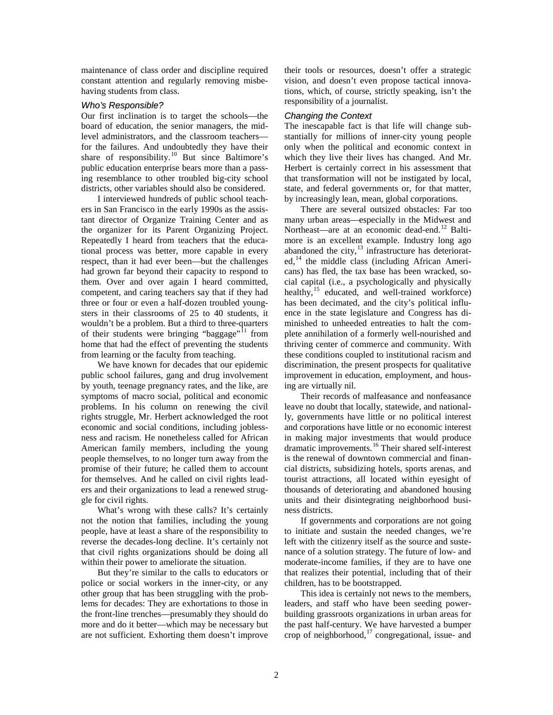maintenance of class order and discipline required constant attention and regularly removing misbehaving students from class.

#### *Who's Responsible?*

Our first inclination is to target the schools—the board of education, the senior managers, the midlevel administrators, and the classroom teachers for the failures. And undoubtedly they have their share of responsibility.<sup>[10](#page-8-8)</sup> But since Baltimore's public education enterprise bears more than a passing resemblance to other troubled big-city school districts, other variables should also be considered.

I interviewed hundreds of public school teachers in San Francisco in the early 1990s as the assistant director of Organize Training Center and as the organizer for its Parent Organizing Project. Repeatedly I heard from teachers that the educational process was better, more capable in every respect, than it had ever been—but the challenges had grown far beyond their capacity to respond to them. Over and over again I heard committed, competent, and caring teachers say that if they had three or four or even a half-dozen troubled youngsters in their classrooms of 25 to 40 students, it wouldn't be a problem. But a third to three-quarters of their students were bringing "baggage"<sup>[11](#page-8-9)</sup> from home that had the effect of preventing the students from learning or the faculty from teaching.

We have known for decades that our epidemic public school failures, gang and drug involvement by youth, teenage pregnancy rates, and the like, are symptoms of macro social, political and economic problems. In his column on renewing the civil rights struggle, Mr. Herbert acknowledged the root economic and social conditions, including joblessness and racism. He nonetheless called for African American family members, including the young people themselves, to no longer turn away from the promise of their future; he called them to account for themselves. And he called on civil rights leaders and their organizations to lead a renewed struggle for civil rights.

What's wrong with these calls? It's certainly not the notion that families, including the young people, have at least a share of the responsibility to reverse the decades-long decline. It's certainly not that civil rights organizations should be doing all within their power to ameliorate the situation.

But they're similar to the calls to educators or police or social workers in the inner-city, or any other group that has been struggling with the problems for decades: They are exhortations to those in the front-line trenches—presumably they should do more and do it better—which may be necessary but are not sufficient. Exhorting them doesn't improve their tools or resources, doesn't offer a strategic vision, and doesn't even propose tactical innovations, which, of course, strictly speaking, isn't the responsibility of a journalist.

#### *Changing the Context*

The inescapable fact is that life will change substantially for millions of inner-city young people only when the political and economic context in which they live their lives has changed. And Mr. Herbert is certainly correct in his assessment that that transformation will not be instigated by local, state, and federal governments or, for that matter, by increasingly lean, mean, global corporations.

There are several outsized obstacles: Far too many urban areas—especially in the Midwest and Northeast—are at an economic dead-end.<sup>[12](#page-8-10)</sup> Baltimore is an excellent example. Industry long ago abandoned the city, $13$  infrastructure has deteriorat- $ed<sub>14</sub>$  $ed<sub>14</sub>$  $ed<sub>14</sub>$  the middle class (including African Americans) has fled, the tax base has been wracked, social capital (i.e., a psychologically and physically healthy, $15$  educated, and well-trained workforce) has been decimated, and the city's political influence in the state legislature and Congress has diminished to unheeded entreaties to halt the complete annihilation of a formerly well-nourished and thriving center of commerce and community. With these conditions coupled to institutional racism and discrimination, the present prospects for qualitative improvement in education, employment, and housing are virtually nil.

Their records of malfeasance and nonfeasance leave no doubt that locally, statewide, and nationally, governments have little or no political interest and corporations have little or no economic interest in making major investments that would produce dramatic improvements.[16](#page-8-14) Their shared self-interest is the renewal of downtown commercial and financial districts, subsidizing hotels, sports arenas, and tourist attractions, all located within eyesight of thousands of deteriorating and abandoned housing units and their disintegrating neighborhood business districts.

If governments and corporations are not going to initiate and sustain the needed changes, we're left with the citizenry itself as the source and sustenance of a solution strategy. The future of low- and moderate-income families, if they are to have one that realizes their potential, including that of their children, has to be bootstrapped.

This idea is certainly not news to the members, leaders, and staff who have been seeding powerbuilding grassroots organizations in urban areas for the past half-century. We have harvested a bumper crop of neighborhood, $^{17}$  $^{17}$  $^{17}$  congregational, issue- and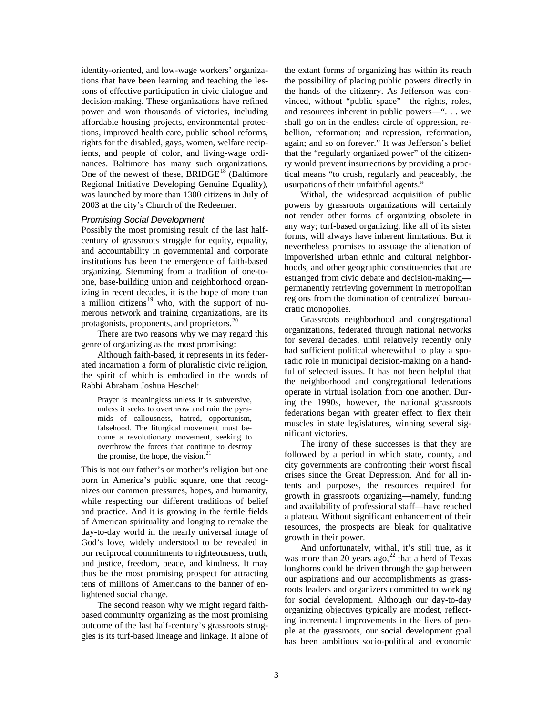identity-oriented, and low-wage workers' organizations that have been learning and teaching the lessons of effective participation in civic dialogue and decision-making. These organizations have refined power and won thousands of victories, including affordable housing projects, environmental protections, improved health care, public school reforms, rights for the disabled, gays, women, welfare recipients, and people of color, and living-wage ordinances. Baltimore has many such organizations. One of the newest of these,  $BRIDGE^{18}$  $BRIDGE^{18}$  $BRIDGE^{18}$  (Baltimore Regional Initiative Developing Genuine Equality), was launched by more than 1300 citizens in July of 2003 at the city's Church of the Redeemer.

#### *Promising Social Development*

Possibly the most promising result of the last halfcentury of grassroots struggle for equity, equality, and accountability in governmental and corporate institutions has been the emergence of faith-based organizing. Stemming from a tradition of one-toone, base-building union and neighborhood organizing in recent decades, it is the hope of more than a million citizens<sup>[19](#page-8-17)</sup> who, with the support of numerous network and training organizations, are its protagonists, proponents, and proprietors.[20](#page-8-18)

There are two reasons why we may regard this genre of organizing as the most promising:

Although faith-based, it represents in its federated incarnation a form of pluralistic civic religion, the spirit of which is embodied in the words of Rabbi Abraham Joshua Heschel:

Prayer is meaningless unless it is subversive, unless it seeks to overthrow and ruin the pyramids of callousness, hatred, opportunism, falsehood. The liturgical movement must become a revolutionary movement, seeking to overthrow the forces that continue to destroy the promise, the hope, the vision. $21$ 

This is not our father's or mother's religion but one born in America's public square, one that recognizes our common pressures, hopes, and humanity, while respecting our different traditions of belief and practice. And it is growing in the fertile fields of American spirituality and longing to remake the day-to-day world in the nearly universal image of God's love, widely understood to be revealed in our reciprocal commitments to righteousness, truth, and justice, freedom, peace, and kindness. It may thus be the most promising prospect for attracting tens of millions of Americans to the banner of enlightened social change.

The second reason why we might regard faithbased community organizing as the most promising outcome of the last half-century's grassroots struggles is its turf-based lineage and linkage. It alone of the extant forms of organizing has within its reach the possibility of placing public powers directly in the hands of the citizenry. As Jefferson was convinced, without "public space"—the rights, roles, and resources inherent in public powers—". . . we shall go on in the endless circle of oppression, rebellion, reformation; and repression, reformation, again; and so on forever." It was Jefferson's belief that the "regularly organized power" of the citizenry would prevent insurrections by providing a practical means "to crush, regularly and peaceably, the usurpations of their unfaithful agents."

Withal, the widespread acquisition of public powers by grassroots organizations will certainly not render other forms of organizing obsolete in any way; turf-based organizing, like all of its sister forms, will always have inherent limitations. But it nevertheless promises to assuage the alienation of impoverished urban ethnic and cultural neighborhoods, and other geographic constituencies that are estranged from civic debate and decision-making permanently retrieving government in metropolitan regions from the domination of centralized bureaucratic monopolies.

Grassroots neighborhood and congregational organizations, federated through national networks for several decades, until relatively recently only had sufficient political wherewithal to play a sporadic role in municipal decision-making on a handful of selected issues. It has not been helpful that the neighborhood and congregational federations operate in virtual isolation from one another. During the 1990s, however, the national grassroots federations began with greater effect to flex their muscles in state legislatures, winning several significant victories.

The irony of these successes is that they are followed by a period in which state, county, and city governments are confronting their worst fiscal crises since the Great Depression. And for all intents and purposes, the resources required for growth in grassroots organizing—namely, funding and availability of professional staff—have reached a plateau. Without significant enhancement of their resources, the prospects are bleak for qualitative growth in their power.

And unfortunately, withal, it's still true, as it was more than 20 years ago, $^{22}$  $^{22}$  $^{22}$  that a herd of Texas longhorns could be driven through the gap between our aspirations and our accomplishments as grassroots leaders and organizers committed to working for social development. Although our day-to-day organizing objectives typically are modest, reflecting incremental improvements in the lives of people at the grassroots, our social development goal has been ambitious socio-political and economic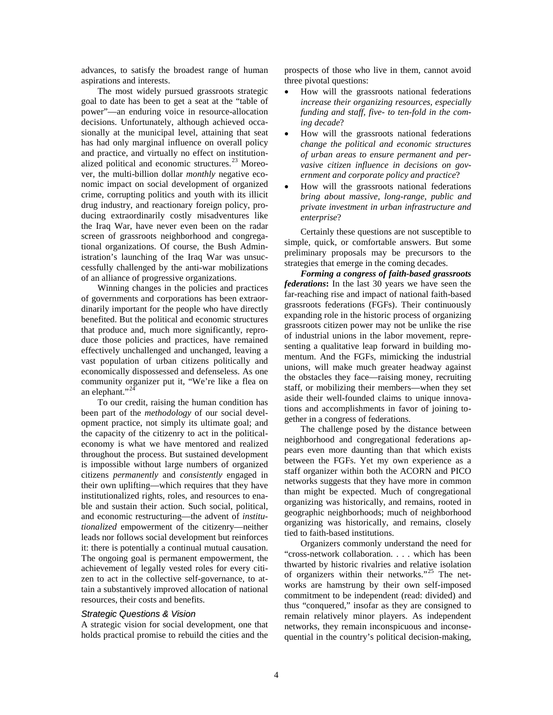advances, to satisfy the broadest range of human aspirations and interests.

The most widely pursued grassroots strategic goal to date has been to get a seat at the "table of power"—an enduring voice in resource-allocation decisions. Unfortunately, although achieved occasionally at the municipal level, attaining that seat has had only marginal influence on overall policy and practice, and virtually no effect on institution-alized political and economic structures.<sup>[23](#page-8-21)</sup> Moreover, the multi-billion dollar *monthly* negative economic impact on social development of organized crime, corrupting politics and youth with its illicit drug industry, and reactionary foreign policy, producing extraordinarily costly misadventures like the Iraq War, have never even been on the radar screen of grassroots neighborhood and congregational organizations. Of course, the Bush Administration's launching of the Iraq War was unsuccessfully challenged by the anti-war mobilizations of an alliance of progressive organizations.

Winning changes in the policies and practices of governments and corporations has been extraordinarily important for the people who have directly benefited. But the political and economic structures that produce and, much more significantly, reproduce those policies and practices, have remained effectively unchallenged and unchanged, leaving a vast population of urban citizens politically and economically dispossessed and defenseless. As one community organizer put it, "We're like a flea on an elephant."<sup>2</sup>

To our credit, raising the human condition has been part of the *methodology* of our social development practice, not simply its ultimate goal; and the capacity of the citizenry to act in the politicaleconomy is what we have mentored and realized throughout the process. But sustained development is impossible without large numbers of organized citizens *permanently* and *consistently* engaged in their own uplifting—which requires that they have institutionalized rights, roles, and resources to enable and sustain their action. Such social, political, and economic restructuring—the advent of *institutionalized* empowerment of the citizenry—neither leads nor follows social development but reinforces it: there is potentially a continual mutual causation. The ongoing goal is permanent empowerment, the achievement of legally vested roles for every citizen to act in the collective self-governance, to attain a substantively improved allocation of national resources, their costs and benefits.

#### *Strategic Questions & Vision*

A strategic vision for social development, one that holds practical promise to rebuild the cities and the prospects of those who live in them, cannot avoid three pivotal questions:

- How will the grassroots national federations *increase their organizing resources, especially funding and staff, five- to ten-fold in the coming decade*?
- How will the grassroots national federations *change the political and economic structures of urban areas to ensure permanent and pervasive citizen influence in decisions on government and corporate policy and practice*?
- How will the grassroots national federations *bring about massive, long-range, public and private investment in urban infrastructure and enterprise*?

Certainly these questions are not susceptible to simple, quick, or comfortable answers. But some preliminary proposals may be precursors to the strategies that emerge in the coming decades.

*Forming a congress of faith-based grassroots federations***:** In the last 30 years we have seen the far-reaching rise and impact of national faith-based grassroots federations (FGFs). Their continuously expanding role in the historic process of organizing grassroots citizen power may not be unlike the rise of industrial unions in the labor movement, representing a qualitative leap forward in building momentum. And the FGFs, mimicking the industrial unions, will make much greater headway against the obstacles they face—raising money, recruiting staff, or mobilizing their members—when they set aside their well-founded claims to unique innovations and accomplishments in favor of joining together in a congress of federations.

The challenge posed by the distance between neighborhood and congregational federations appears even more daunting than that which exists between the FGFs. Yet my own experience as a staff organizer within both the ACORN and PICO networks suggests that they have more in common than might be expected. Much of congregational organizing was historically, and remains, rooted in geographic neighborhoods; much of neighborhood organizing was historically, and remains, closely tied to faith-based institutions.

Organizers commonly understand the need for "cross-network collaboration. . . . which has been thwarted by historic rivalries and relative isolation of organizers within their networks."<sup>[25](#page-8-23)</sup> The networks are hamstrung by their own self-imposed commitment to be independent (read: divided) and thus "conquered," insofar as they are consigned to remain relatively minor players. As independent networks, they remain inconspicuous and inconsequential in the country's political decision-making,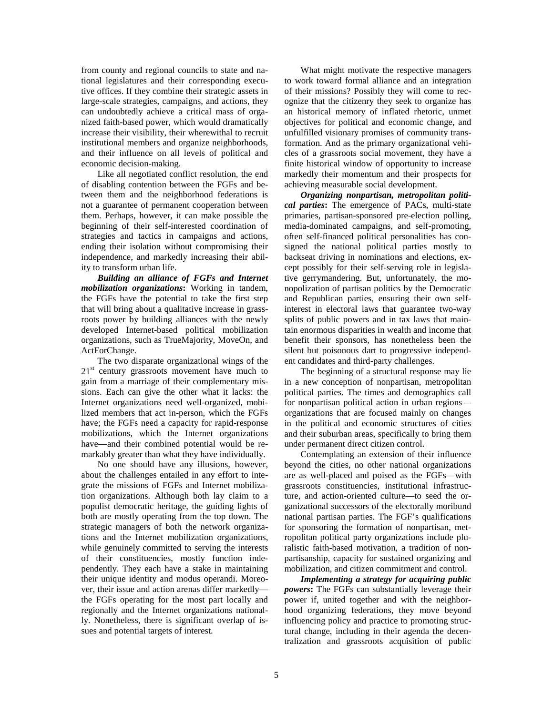from county and regional councils to state and national legislatures and their corresponding executive offices. If they combine their strategic assets in large-scale strategies, campaigns, and actions, they can undoubtedly achieve a critical mass of organized faith-based power, which would dramatically increase their visibility, their wherewithal to recruit institutional members and organize neighborhoods, and their influence on all levels of political and economic decision-making.

Like all negotiated conflict resolution, the end of disabling contention between the FGFs and between them and the neighborhood federations is not a guarantee of permanent cooperation between them. Perhaps, however, it can make possible the beginning of their self-interested coordination of strategies and tactics in campaigns and actions, ending their isolation without compromising their independence, and markedly increasing their ability to transform urban life.

*Building an alliance of FGFs and Internet mobilization organizations***:** Working in tandem, the FGFs have the potential to take the first step that will bring about a qualitative increase in grassroots power by building alliances with the newly developed Internet-based political mobilization organizations, such as TrueMajority, MoveOn, and ActForChange.

The two disparate organizational wings of the  $21<sup>st</sup>$  century grassroots movement have much to gain from a marriage of their complementary missions. Each can give the other what it lacks: the Internet organizations need well-organized, mobilized members that act in-person, which the FGFs have; the FGFs need a capacity for rapid-response mobilizations, which the Internet organizations have—and their combined potential would be remarkably greater than what they have individually.

No one should have any illusions, however, about the challenges entailed in any effort to integrate the missions of FGFs and Internet mobilization organizations. Although both lay claim to a populist democratic heritage, the guiding lights of both are mostly operating from the top down. The strategic managers of both the network organizations and the Internet mobilization organizations, while genuinely committed to serving the interests of their constituencies, mostly function independently. They each have a stake in maintaining their unique identity and modus operandi. Moreover, their issue and action arenas differ markedly the FGFs operating for the most part locally and regionally and the Internet organizations nationally. Nonetheless, there is significant overlap of issues and potential targets of interest.

What might motivate the respective managers to work toward formal alliance and an integration of their missions? Possibly they will come to recognize that the citizenry they seek to organize has an historical memory of inflated rhetoric, unmet objectives for political and economic change, and unfulfilled visionary promises of community transformation. And as the primary organizational vehicles of a grassroots social movement, they have a finite historical window of opportunity to increase markedly their momentum and their prospects for achieving measurable social development.

*Organizing nonpartisan, metropolitan political parties***:** The emergence of PACs, multi-state primaries, partisan-sponsored pre-election polling, media-dominated campaigns, and self-promoting, often self-financed political personalities has consigned the national political parties mostly to backseat driving in nominations and elections, except possibly for their self-serving role in legislative gerrymandering. But, unfortunately, the monopolization of partisan politics by the Democratic and Republican parties, ensuring their own selfinterest in electoral laws that guarantee two-way splits of public powers and in tax laws that maintain enormous disparities in wealth and income that benefit their sponsors, has nonetheless been the silent but poisonous dart to progressive independent candidates and third-party challenges.

The beginning of a structural response may lie in a new conception of nonpartisan, metropolitan political parties. The times and demographics call for nonpartisan political action in urban regions organizations that are focused mainly on changes in the political and economic structures of cities and their suburban areas, specifically to bring them under permanent direct citizen control.

Contemplating an extension of their influence beyond the cities, no other national organizations are as well-placed and poised as the FGFs—with grassroots constituencies, institutional infrastructure, and action-oriented culture—to seed the organizational successors of the electorally moribund national partisan parties. The FGF's qualifications for sponsoring the formation of nonpartisan, metropolitan political party organizations include pluralistic faith-based motivation, a tradition of nonpartisanship, capacity for sustained organizing and mobilization, and citizen commitment and control.

*Implementing a strategy for acquiring public powers***:** The FGFs can substantially leverage their power if, united together and with the neighborhood organizing federations, they move beyond influencing policy and practice to promoting structural change, including in their agenda the decentralization and grassroots acquisition of public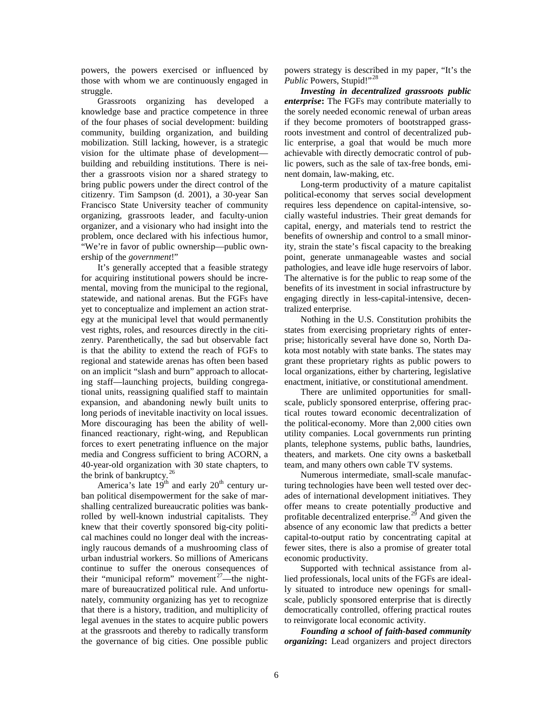powers, the powers exercised or influenced by those with whom we are continuously engaged in struggle.

Grassroots organizing has developed a knowledge base and practice competence in three of the four phases of social development: building community, building organization, and building mobilization. Still lacking, however, is a strategic vision for the ultimate phase of development building and rebuilding institutions. There is neither a grassroots vision nor a shared strategy to bring public powers under the direct control of the citizenry. Tim Sampson (d. 2001), a 30-year San Francisco State University teacher of community organizing, grassroots leader, and faculty-union organizer, and a visionary who had insight into the problem, once declared with his infectious humor, "We're in favor of public ownership—public ownership of the *government*!"

It's generally accepted that a feasible strategy for acquiring institutional powers should be incremental, moving from the municipal to the regional, statewide, and national arenas. But the FGFs have yet to conceptualize and implement an action strategy at the municipal level that would permanently vest rights, roles, and resources directly in the citizenry. Parenthetically, the sad but observable fact is that the ability to extend the reach of FGFs to regional and statewide arenas has often been based on an implicit "slash and burn" approach to allocating staff—launching projects, building congregational units, reassigning qualified staff to maintain expansion, and abandoning newly built units to long periods of inevitable inactivity on local issues. More discouraging has been the ability of wellfinanced reactionary, right-wing, and Republican forces to exert penetrating influence on the major media and Congress sufficient to bring ACORN, a 40-year-old organization with 30 state chapters, to the brink of bankruptcy. $26$ 

America's late  $19<sup>th</sup>$  and early  $20<sup>th</sup>$  century urban political disempowerment for the sake of marshalling centralized bureaucratic polities was bankrolled by well-known industrial capitalists. They knew that their covertly sponsored big-city political machines could no longer deal with the increasingly raucous demands of a mushrooming class of urban industrial workers. So millions of Americans continue to suffer the onerous consequences of their "municipal reform" movement<sup>27</sup>—the nightmare of bureaucratized political rule. And unfortunately, community organizing has yet to recognize that there is a history, tradition, and multiplicity of legal avenues in the states to acquire public powers at the grassroots and thereby to radically transform the governance of big cities. One possible public

powers strategy is described in my paper, "It's the Public Powers, Stupid!"<sup>[28](#page-8-26)</sup>

*Investing in decentralized grassroots public enterprise***:** The FGFs may contribute materially to the sorely needed economic renewal of urban areas if they become promoters of bootstrapped grassroots investment and control of decentralized public enterprise, a goal that would be much more achievable with directly democratic control of public powers, such as the sale of tax-free bonds, eminent domain, law-making, etc.

Long-term productivity of a mature capitalist political-economy that serves social development requires less dependence on capital-intensive, socially wasteful industries. Their great demands for capital, energy, and materials tend to restrict the benefits of ownership and control to a small minority, strain the state's fiscal capacity to the breaking point, generate unmanageable wastes and social pathologies, and leave idle huge reservoirs of labor. The alternative is for the public to reap some of the benefits of its investment in social infrastructure by engaging directly in less-capital-intensive, decentralized enterprise.

Nothing in the U.S. Constitution prohibits the states from exercising proprietary rights of enterprise; historically several have done so, North Dakota most notably with state banks. The states may grant these proprietary rights as public powers to local organizations, either by chartering, legislative enactment, initiative, or constitutional amendment.

There are unlimited opportunities for smallscale, publicly sponsored enterprise, offering practical routes toward economic decentralization of the political-economy. More than 2,000 cities own utility companies. Local governments run printing plants, telephone systems, public baths, laundries, theaters, and markets. One city owns a basketball team, and many others own cable TV systems.

Numerous intermediate, small-scale manufacturing technologies have been well tested over decades of international development initiatives. They offer means to create potentially productive and profitable decentralized enterprise.<sup>[29](#page-8-27)</sup> And given the absence of any economic law that predicts a better capital-to-output ratio by concentrating capital at fewer sites, there is also a promise of greater total economic productivity.

Supported with technical assistance from allied professionals, local units of the FGFs are ideally situated to introduce new openings for smallscale, publicly sponsored enterprise that is directly democratically controlled, offering practical routes to reinvigorate local economic activity.

*Founding a school of faith-based community organizing***:** Lead organizers and project directors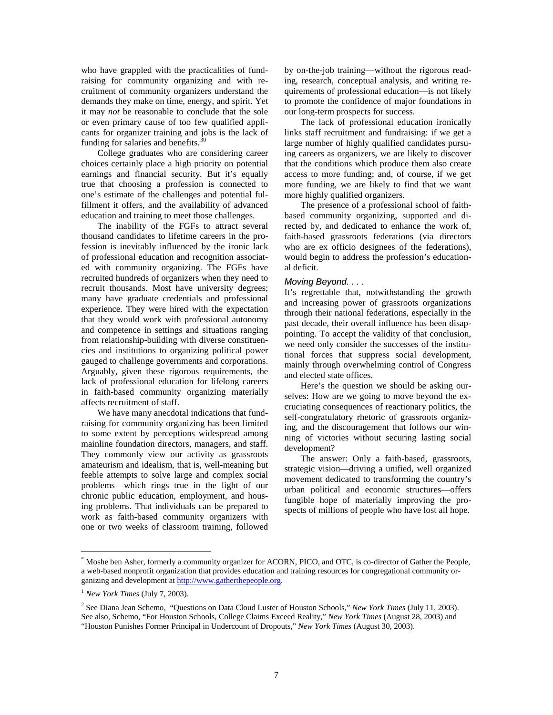who have grappled with the practicalities of fundraising for community organizing and with recruitment of community organizers understand the demands they make on time, energy, and spirit. Yet it may *not* be reasonable to conclude that the sole or even primary cause of too few qualified applicants for organizer training and jobs is the lack of funding for salaries and benefits.  $3<sup>3</sup>$ 

College graduates who are considering career choices certainly place a high priority on potential earnings and financial security. But it's equally true that choosing a profession is connected to one's estimate of the challenges and potential fulfillment it offers, and the availability of advanced education and training to meet those challenges.

The inability of the FGFs to attract several thousand candidates to lifetime careers in the profession is inevitably influenced by the ironic lack of professional education and recognition associated with community organizing. The FGFs have recruited hundreds of organizers when they need to recruit thousands. Most have university degrees; many have graduate credentials and professional experience. They were hired with the expectation that they would work with professional autonomy and competence in settings and situations ranging from relationship-building with diverse constituencies and institutions to organizing political power gauged to challenge governments and corporations. Arguably, given these rigorous requirements, the lack of professional education for lifelong careers in faith-based community organizing materially affects recruitment of staff.

We have many anecdotal indications that fundraising for community organizing has been limited to some extent by perceptions widespread among mainline foundation directors, managers, and staff. They commonly view our activity as grassroots amateurism and idealism, that is, well-meaning but feeble attempts to solve large and complex social problems—which rings true in the light of our chronic public education, employment, and housing problems. That individuals can be prepared to work as faith-based community organizers with one or two weeks of classroom training, followed

by on-the-job training—without the rigorous reading, research, conceptual analysis, and writing requirements of professional education—is not likely to promote the confidence of major foundations in our long-term prospects for success.

The lack of professional education ironically links staff recruitment and fundraising: if we get a large number of highly qualified candidates pursuing careers as organizers, we are likely to discover that the conditions which produce them also create access to more funding; and, of course, if we get more funding, we are likely to find that we want more highly qualified organizers.

The presence of a professional school of faithbased community organizing, supported and directed by, and dedicated to enhance the work of, faith-based grassroots federations (via directors who are ex officio designees of the federations), would begin to address the profession's educational deficit.

#### *Moving Beyond. . . .*

It's regrettable that, notwithstanding the growth and increasing power of grassroots organizations through their national federations, especially in the past decade, their overall influence has been disappointing. To accept the validity of that conclusion, we need only consider the successes of the institutional forces that suppress social development, mainly through overwhelming control of Congress and elected state offices.

Here's the question we should be asking ourselves: How are we going to move beyond the excruciating consequences of reactionary politics, the self-congratulatory rhetoric of grassroots organizing, and the discouragement that follows our winning of victories without securing lasting social development?

The answer: Only a faith-based, grassroots, strategic vision—driving a unified, well organized movement dedicated to transforming the country's urban political and economic structures—offers fungible hope of materially improving the prospects of millions of people who have lost all hope.

 <sup>\*</sup> Moshe ben Asher, formerly a community organizer for ACORN, PICO, and OTC, is co-director of Gather the People, a web-based nonprofit organization that provides education and training resources for congregational community organizing and development at [http://www.gatherthepeople.org.](http://www.gatherthepeople.org/)

<sup>1</sup> *New York Times* (July 7, 2003).

<sup>2</sup> See Diana Jean Schemo, "Questions on Data Cloud Luster of Houston Schools," *New York Times* (July 11, 2003). See also, Schemo, "For Houston Schools, College Claims Exceed Reality," *New York Times* (August 28, 2003) and "Houston Punishes Former Principal in Undercount of Dropouts," *New York Times* (August 30, 2003).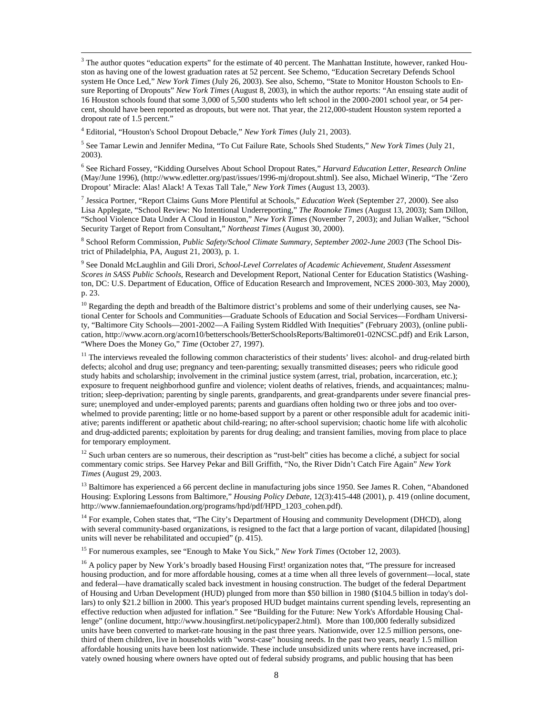$3$  The author quotes "education experts" for the estimate of 40 percent. The Manhattan Institute, however, ranked Houston as having one of the lowest graduation rates at 52 percent. See Schemo, "Education Secretary Defends School system He Once Led," *New York Times* (July 26, 2003). See also, Schemo, "State to Monitor Houston Schools to Ensure Reporting of Dropouts" *New York Times* (August 8, 2003), in which the author reports: "An ensuing state audit of 16 Houston schools found that some 3,000 of 5,500 students who left school in the 2000-2001 school year, or 54 percent, should have been reported as dropouts, but were not. That year, the 212,000-student Houston system reported a dropout rate of 1.5 percent."

<sup>4</sup> Editorial, "Houston's School Dropout Debacle," *New York Times* (July 21, 2003).

<sup>5</sup> See Tamar Lewin and Jennifer Medina, "To Cut Failure Rate, Schools Shed Students," *New York Times* (July 21, 2003).

<sup>6</sup> See Richard Fossey, "Kidding Ourselves About School Dropout Rates," *Harvard Education Letter, Research Online* (May/June 1996), (http://www.edletter.org/past/issues/1996-mj/dropout.shtml). See also, Michael Winerip, "The 'Zero Dropout' Miracle: Alas! Alack! A Texas Tall Tale," *New York Times* (August 13, 2003).

<sup>7</sup> Jessica Portner, "Report Claims Guns More Plentiful at Schools," *Education Week* (September 27, 2000). See also Lisa Applegate, "School Review: No Intentional Underreporting," *The Roanoke Times* (August 13, 2003); Sam Dillon, "School Violence Data Under A Cloud in Houston," *New York Times* (November 7, 2003); and Julian Walker, "School Security Target of Report from Consultant," *Northeast Times* (August 30, 2000).

<sup>8</sup> School Reform Commission, *Public Safety/School Climate Summary, September 2002-June 2003* (The School District of Philadelphia, PA, August 21, 2003), p. 1.

<sup>9</sup> See Donald McLaughlin and Gili Drori, *School-Level Correlates of Academic Achievement, Student Assessment Scores in SASS Public Schools*, Research and Development Report, National Center for Education Statistics (Washington, DC: U.S. Department of Education, Office of Education Research and Improvement, NCES 2000-303, May 2000), p. 23.

 $10$  Regarding the depth and breadth of the Baltimore district's problems and some of their underlying causes, see National Center for Schools and Communities—Graduate Schools of Education and Social Services—Fordham University, "Baltimore City Schools—2001-2002—A Failing System Riddled With Inequities" (February 2003), (online publication, http://www.acorn.org/acorn10/betterschools/BetterSchoolsReports/Baltimore01-02NCSC.pdf) and Erik Larson, "Where Does the Money Go," *Time* (October 27, 1997).

 $11$  The interviews revealed the following common characteristics of their students' lives: alcohol- and drug-related birth defects; alcohol and drug use; pregnancy and teen-parenting; sexually transmitted diseases; peers who ridicule good study habits and scholarship; involvement in the criminal justice system (arrest, trial, probation, incarceration, etc.); exposure to frequent neighborhood gunfire and violence; violent deaths of relatives, friends, and acquaintances; malnutrition; sleep-deprivation; parenting by single parents, grandparents, and great-grandparents under severe financial pressure; unemployed and under-employed parents; parents and guardians often holding two or three jobs and too overwhelmed to provide parenting; little or no home-based support by a parent or other responsible adult for academic initiative; parents indifferent or apathetic about child-rearing; no after-school supervision; chaotic home life with alcoholic and drug-addicted parents; exploitation by parents for drug dealing; and transient families, moving from place to place for temporary employment.

 $12$  Such urban centers are so numerous, their description as "rust-belt" cities has become a cliché, a subject for social commentary comic strips. See Harvey Pekar and Bill Griffith, "No, the River Didn't Catch Fire Again" *New York Times* (August 29, 2003.

<sup>13</sup> Baltimore has experienced a 66 percent decline in manufacturing jobs since 1950. See James R. Cohen, "Abandoned Housing: Exploring Lessons from Baltimore," *Housing Policy Debate*, 12(3):415-448 (2001), p. 419 (online document, http://www.fanniemaefoundation.org/programs/hpd/pdf/HPD\_1203\_cohen.pdf).

<sup>14</sup> For example, Cohen states that, "The City's Department of Housing and community Development (DHCD), along with several community-based organizations, is resigned to the fact that a large portion of vacant, dilapidated [housing] units will never be rehabilitated and occupied" (p. 415).

<sup>15</sup> For numerous examples, see "Enough to Make You Sick," *New York Times* (October 12, 2003).

<span id="page-7-1"></span><span id="page-7-0"></span><sup>16</sup> A policy paper by New York's broadly based Housing First! organization notes that, "The pressure for increased housing production, and for more affordable housing, comes at a time when all three levels of government—local, state and federal—have dramatically scaled back investment in housing construction. The budget of the federal Department of Housing and Urban Development (HUD) plunged from more than \$50 billion in 1980 (\$104.5 billion in today's dollars) to only \$21.2 billion in 2000. This year's proposed HUD budget maintains current spending levels, representing an effective reduction when adjusted for inflation." See "Building for the Future: New York's Affordable Housing Challenge" (online document, http://www.housingfirst.net/policypaper2.html). More than 100,000 federally subsidized units have been converted to market-rate housing in the past three years. Nationwide, over 12.5 million persons, onethird of them children, live in households with "worst-case" housing needs. In the past two years, nearly 1.5 million affordable housing units have been lost nationwide. These include unsubsidized units where rents have increased, privately owned housing where owners have opted out of federal subsidy programs, and public housing that has been